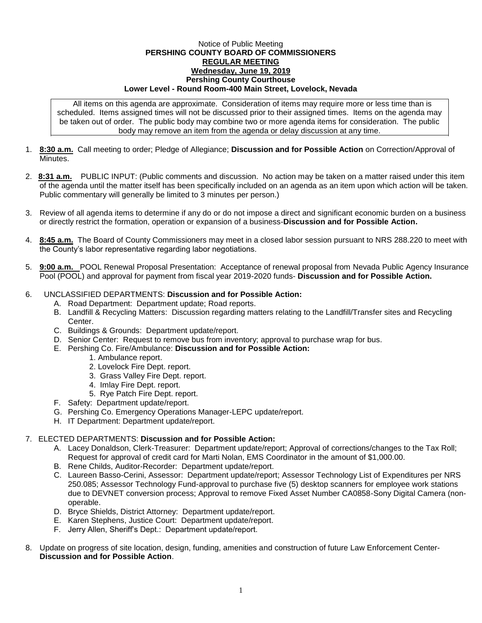## Notice of Public Meeting **PERSHING COUNTY BOARD OF COMMISSIONERS REGULAR MEETING Wednesday, June 19, 2019 Pershing County Courthouse Lower Level - Round Room-400 Main Street, Lovelock, Nevada**

All items on this agenda are approximate. Consideration of items may require more or less time than is scheduled. Items assigned times will not be discussed prior to their assigned times. Items on the agenda may be taken out of order. The public body may combine two or more agenda items for consideration. The public body may remove an item from the agenda or delay discussion at any time.

- 1. **8:30 a.m.** Call meeting to order; Pledge of Allegiance; **Discussion and for Possible Action** on Correction/Approval of **Minutes**
- 2. **8:31 a.m.** PUBLIC INPUT: (Public comments and discussion. No action may be taken on a matter raised under this item of the agenda until the matter itself has been specifically included on an agenda as an item upon which action will be taken. Public commentary will generally be limited to 3 minutes per person.)
- 3. Review of all agenda items to determine if any do or do not impose a direct and significant economic burden on a business or directly restrict the formation, operation or expansion of a business-**Discussion and for Possible Action.**
- 4. **8:45 a.m.** The Board of County Commissioners may meet in a closed labor session pursuant to NRS 288.220 to meet with the County's labor representative regarding labor negotiations.
- 5. **9:00 a.m.** POOL Renewal Proposal Presentation: Acceptance of renewal proposal from Nevada Public Agency Insurance Pool (POOL) and approval for payment from fiscal year 2019-2020 funds- **Discussion and for Possible Action.**

## 6. UNCLASSIFIED DEPARTMENTS: **Discussion and for Possible Action:**

- A. Road Department: Department update; Road reports.
- B. Landfill & Recycling Matters: Discussion regarding matters relating to the Landfill/Transfer sites and Recycling Center.
- C. Buildings & Grounds: Department update/report.
- D. Senior Center: Request to remove bus from inventory; approval to purchase wrap for bus.
- E. Pershing Co. Fire/Ambulance: **Discussion and for Possible Action:**
	- 1. Ambulance report.
	- 2. Lovelock Fire Dept. report.
	- 3. Grass Valley Fire Dept. report.
	- 4. Imlay Fire Dept. report.
	- 5. Rye Patch Fire Dept. report.
- F. Safety: Department update/report.
- G. Pershing Co. Emergency Operations Manager-LEPC update/report.
- H. IT Department: Department update/report.

## 7. ELECTED DEPARTMENTS: **Discussion and for Possible Action:**

- A. Lacey Donaldson, Clerk-Treasurer: Department update/report; Approval of corrections/changes to the Tax Roll; Request for approval of credit card for Marti Nolan, EMS Coordinator in the amount of \$1,000.00.
- B. Rene Childs, Auditor-Recorder: Department update/report.
- C. Laureen Basso-Cerini, Assessor: Department update/report; Assessor Technology List of Expenditures per NRS 250.085; Assessor Technology Fund-approval to purchase five (5) desktop scanners for employee work stations due to DEVNET conversion process; Approval to remove Fixed Asset Number CA0858-Sony Digital Camera (nonoperable.
- D. Bryce Shields, District Attorney: Department update/report.
- E. Karen Stephens, Justice Court: Department update/report.
- F. Jerry Allen, Sheriff's Dept.: Department update/report.
- 8. Update on progress of site location, design, funding, amenities and construction of future Law Enforcement Center-**Discussion and for Possible Action**.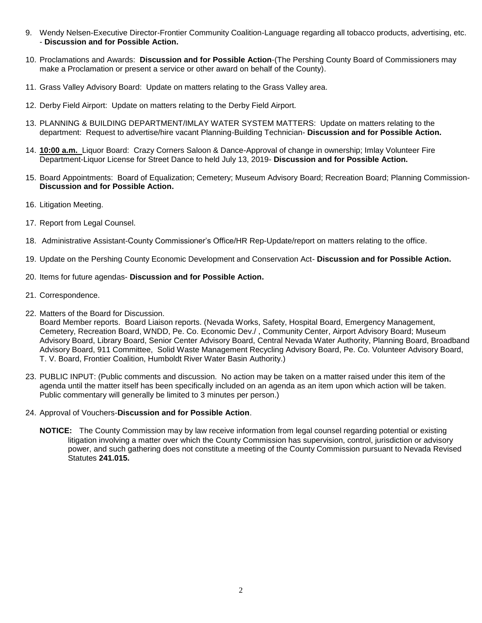- 9. Wendy Nelsen-Executive Director-Frontier Community Coalition-Language regarding all tobacco products, advertising, etc. - **Discussion and for Possible Action.**
- 10. Proclamations and Awards: **Discussion and for Possible Action**-(The Pershing County Board of Commissioners may make a Proclamation or present a service or other award on behalf of the County).
- 11. Grass Valley Advisory Board: Update on matters relating to the Grass Valley area.
- 12. Derby Field Airport: Update on matters relating to the Derby Field Airport.
- 13. PLANNING & BUILDING DEPARTMENT/IMLAY WATER SYSTEM MATTERS: Update on matters relating to the department: Request to advertise/hire vacant Planning-Building Technician- **Discussion and for Possible Action.**
- 14. **10:00 a.m.** Liquor Board: Crazy Corners Saloon & Dance-Approval of change in ownership; Imlay Volunteer Fire Department-Liquor License for Street Dance to held July 13, 2019- **Discussion and for Possible Action.**
- 15. Board Appointments: Board of Equalization; Cemetery; Museum Advisory Board; Recreation Board; Planning Commission-**Discussion and for Possible Action.**
- 16. Litigation Meeting.
- 17. Report from Legal Counsel.
- 18. Administrative Assistant-County Commissioner's Office/HR Rep-Update/report on matters relating to the office.
- 19. Update on the Pershing County Economic Development and Conservation Act- **Discussion and for Possible Action.**
- 20. Items for future agendas- **Discussion and for Possible Action.**
- 21. Correspondence.
- 22. Matters of the Board for Discussion.

Board Member reports. Board Liaison reports. (Nevada Works, Safety, Hospital Board, Emergency Management, Cemetery, Recreation Board, WNDD, Pe. Co. Economic Dev./ , Community Center, Airport Advisory Board; Museum Advisory Board, Library Board, Senior Center Advisory Board, Central Nevada Water Authority, Planning Board, Broadband Advisory Board, 911 Committee, Solid Waste Management Recycling Advisory Board, Pe. Co. Volunteer Advisory Board, T. V. Board, Frontier Coalition, Humboldt River Water Basin Authority.)

- 23. PUBLIC INPUT: (Public comments and discussion. No action may be taken on a matter raised under this item of the agenda until the matter itself has been specifically included on an agenda as an item upon which action will be taken. Public commentary will generally be limited to 3 minutes per person.)
- 24. Approval of Vouchers-**Discussion and for Possible Action**.
	- **NOTICE:** The County Commission may by law receive information from legal counsel regarding potential or existing litigation involving a matter over which the County Commission has supervision, control, jurisdiction or advisory power, and such gathering does not constitute a meeting of the County Commission pursuant to Nevada Revised Statutes **241.015.**